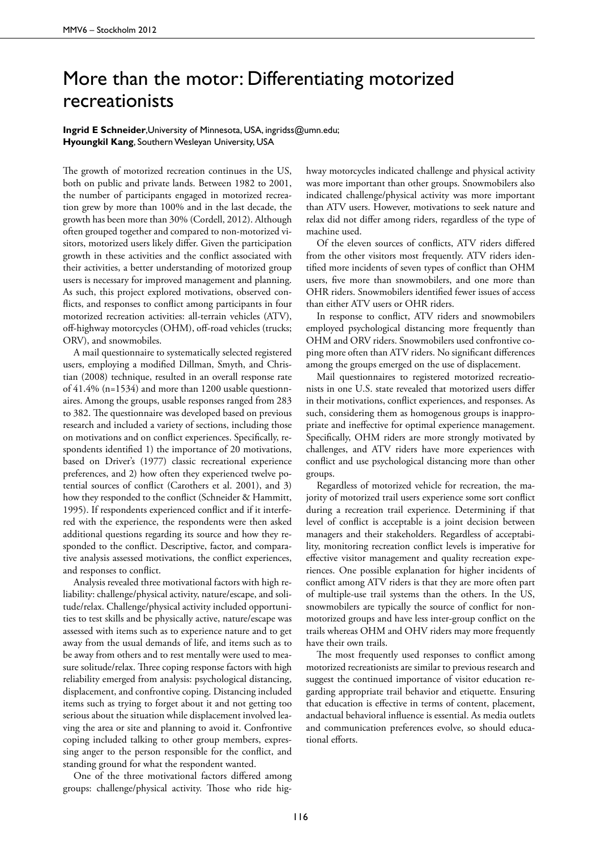## More than the motor: Differentiating motorized recreationists

## **Ingrid E Schneider**, University of Minnesota, USA, ingridss@umn.edu; **Hyoungkil Kang**, Southern Wesleyan University, USA

The growth of motorized recreation continues in the US, both on public and private lands. Between 1982 to 2001, the number of participants engaged in motorized recreation grew by more than 100% and in the last decade, the growth has been more than 30% (Cordell, 2012). Although often grouped together and compared to non-motorized visitors, motorized users likely differ. Given the participation growth in these activities and the conflict associated with their activities, a better understanding of motorized group users is necessary for improved management and planning. As such, this project explored motivations, observed conflicts, and responses to conflict among participants in four motorized recreation activities: all-terrain vehicles (ATV), off-highway motorcycles (OHM), off-road vehicles (trucks; ORV), and snowmobiles.

A mail questionnaire to systematically selected registered users, employing a modified Dillman, Smyth, and Christian (2008) technique, resulted in an overall response rate of 41.4% (n=1534) and more than 1200 usable questionnaires. Among the groups, usable responses ranged from 283 to 382. The questionnaire was developed based on previous research and included a variety of sections, including those on motivations and on conflict experiences. Specifically, respondents identified 1) the importance of 20 motivations, based on Driver's (1977) classic recreational experience preferences, and 2) how often they experienced twelve potential sources of conflict (Carothers et al. 2001), and 3) how they responded to the conflict (Schneider & Hammitt, 1995). If respondents experienced conflict and if it interfered with the experience, the respondents were then asked additional questions regarding its source and how they responded to the conflict. Descriptive, factor, and comparative analysis assessed motivations, the conflict experiences, and responses to conflict.

Analysis revealed three motivational factors with high reliability: challenge/physical activity, nature/escape, and solitude/relax. Challenge/physical activity included opportunities to test skills and be physically active, nature/escape was assessed with items such as to experience nature and to get away from the usual demands of life, and items such as to be away from others and to rest mentally were used to measure solitude/relax. Three coping response factors with high reliability emerged from analysis: psychological distancing, displacement, and confrontive coping. Distancing included items such as trying to forget about it and not getting too serious about the situation while displacement involved leaving the area or site and planning to avoid it. Confrontive coping included talking to other group members, expressing anger to the person responsible for the conflict, and standing ground for what the respondent wanted.

One of the three motivational factors differed among groups: challenge/physical activity. Those who ride highway motorcycles indicated challenge and physical activity was more important than other groups. Snowmobilers also indicated challenge/physical activity was more important than ATV users. However, motivations to seek nature and relax did not differ among riders, regardless of the type of machine used.

Of the eleven sources of conflicts, ATV riders differed from the other visitors most frequently. ATV riders identified more incidents of seven types of conflict than OHM users, five more than snowmobilers, and one more than OHR riders. Snowmobilers identified fewer issues of access than either ATV users or OHR riders.

In response to conflict, ATV riders and snowmobilers employed psychological distancing more frequently than OHM and ORV riders. Snowmobilers used confrontive coping more often than ATV riders. No significant differences among the groups emerged on the use of displacement.

Mail questionnaires to registered motorized recreationists in one U.S. state revealed that motorized users differ in their motivations, conflict experiences, and responses. As such, considering them as homogenous groups is inappropriate and ineffective for optimal experience management. Specifically, OHM riders are more strongly motivated by challenges, and ATV riders have more experiences with conflict and use psychological distancing more than other groups.

Regardless of motorized vehicle for recreation, the majority of motorized trail users experience some sort conflict during a recreation trail experience. Determining if that level of conflict is acceptable is a joint decision between managers and their stakeholders. Regardless of acceptability, monitoring recreation conflict levels is imperative for effective visitor management and quality recreation experiences. One possible explanation for higher incidents of conflict among ATV riders is that they are more often part of multiple-use trail systems than the others. In the US, snowmobilers are typically the source of conflict for nonmotorized groups and have less inter-group conflict on the trails whereas OHM and OHV riders may more frequently have their own trails.

The most frequently used responses to conflict among motorized recreationists are similar to previous research and suggest the continued importance of visitor education regarding appropriate trail behavior and etiquette. Ensuring that education is effective in terms of content, placement, andactual behavioral influence is essential. As media outlets and communication preferences evolve, so should educational efforts.